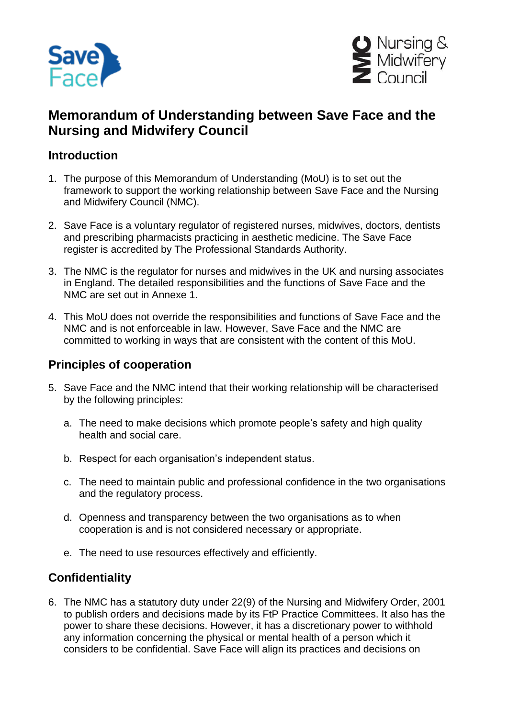



## **Memorandum of Understanding between Save Face and the Nursing and Midwifery Council**

## **Introduction**

- 1. The purpose of this Memorandum of Understanding (MoU) is to set out the framework to support the working relationship between Save Face and the Nursing and Midwifery Council (NMC).
- 2. Save Face is a voluntary regulator of registered nurses, midwives, doctors, dentists and prescribing pharmacists practicing in aesthetic medicine. The Save Face register is accredited by The Professional Standards Authority.
- 3. The NMC is the regulator for nurses and midwives in the UK and nursing associates in England. The detailed responsibilities and the functions of Save Face and the NMC are set out in Annexe 1.
- 4. This MoU does not override the responsibilities and functions of Save Face and the NMC and is not enforceable in law. However, Save Face and the NMC are committed to working in ways that are consistent with the content of this MoU.

## **Principles of cooperation**

- 5. Save Face and the NMC intend that their working relationship will be characterised by the following principles:
	- a. The need to make decisions which promote people's safety and high quality health and social care.
	- b. Respect for each organisation's independent status.
	- c. The need to maintain public and professional confidence in the two organisations and the regulatory process.
	- d. Openness and transparency between the two organisations as to when cooperation is and is not considered necessary or appropriate.
	- e. The need to use resources effectively and efficiently.

## **Confidentiality**

6. The NMC has a statutory duty under 22(9) of the Nursing and Midwifery Order, 2001 to publish orders and decisions made by its FtP Practice Committees. It also has the power to share these decisions. However, it has a discretionary power to withhold any information concerning the physical or mental health of a person which it considers to be confidential. Save Face will align its practices and decisions on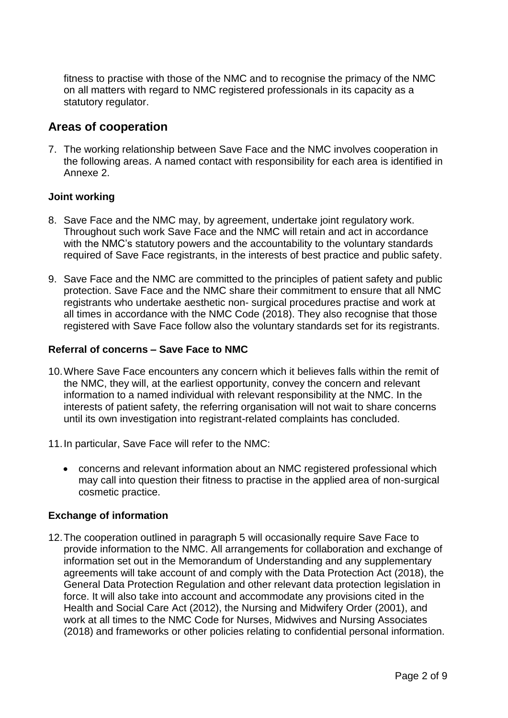fitness to practise with those of the NMC and to recognise the primacy of the NMC on all matters with regard to NMC registered professionals in its capacity as a statutory regulator.

### **Areas of cooperation**

7. The working relationship between Save Face and the NMC involves cooperation in the following areas. A named contact with responsibility for each area is identified in Annexe 2.

#### **Joint working**

- 8. Save Face and the NMC may, by agreement, undertake joint regulatory work. Throughout such work Save Face and the NMC will retain and act in accordance with the NMC's statutory powers and the accountability to the voluntary standards required of Save Face registrants, in the interests of best practice and public safety.
- 9. Save Face and the NMC are committed to the principles of patient safety and public protection. Save Face and the NMC share their commitment to ensure that all NMC registrants who undertake aesthetic non- surgical procedures practise and work at all times in accordance with the NMC Code (2018). They also recognise that those registered with Save Face follow also the voluntary standards set for its registrants.

#### **Referral of concerns – Save Face to NMC**

- 10.Where Save Face encounters any concern which it believes falls within the remit of the NMC, they will, at the earliest opportunity, convey the concern and relevant information to a named individual with relevant responsibility at the NMC. In the interests of patient safety, the referring organisation will not wait to share concerns until its own investigation into registrant-related complaints has concluded.
- 11.In particular, Save Face will refer to the NMC:
	- concerns and relevant information about an NMC registered professional which may call into question their fitness to practise in the applied area of non-surgical cosmetic practice.

#### **Exchange of information**

12.The cooperation outlined in paragraph 5 will occasionally require Save Face to provide information to the NMC. All arrangements for collaboration and exchange of information set out in the Memorandum of Understanding and any supplementary agreements will take account of and comply with the Data Protection Act (2018), the General Data Protection Regulation and other relevant data protection legislation in force. It will also take into account and accommodate any provisions cited in the Health and Social Care Act (2012), the Nursing and Midwifery Order (2001), and work at all times to the NMC Code for Nurses, Midwives and Nursing Associates (2018) and frameworks or other policies relating to confidential personal information.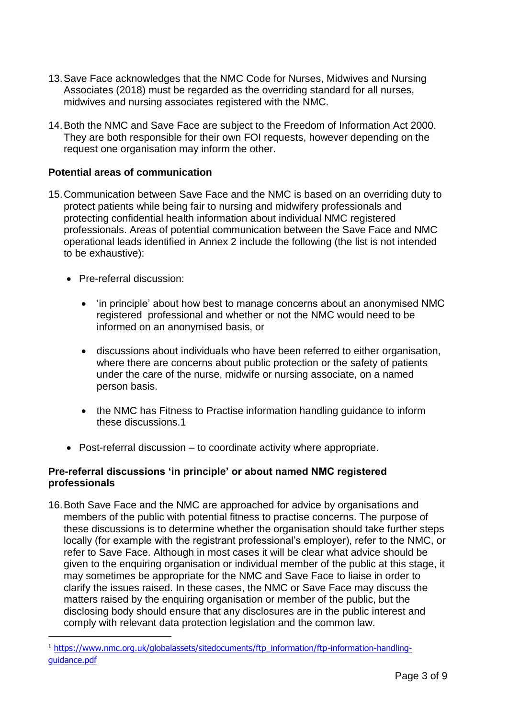- 13.Save Face acknowledges that the NMC Code for Nurses, Midwives and Nursing Associates (2018) must be regarded as the overriding standard for all nurses, midwives and nursing associates registered with the NMC.
- 14.Both the NMC and Save Face are subject to the Freedom of Information Act 2000. They are both responsible for their own FOI requests, however depending on the request one organisation may inform the other.

#### **Potential areas of communication**

- 15.Communication between Save Face and the NMC is based on an overriding duty to protect patients while being fair to nursing and midwifery professionals and protecting confidential health information about individual NMC registered professionals. Areas of potential communication between the Save Face and NMC operational leads identified in Annex 2 include the following (the list is not intended to be exhaustive):
	- Pre-referral discussion:

1

- 'in principle' about how best to manage concerns about an anonymised NMC registered professional and whether or not the NMC would need to be informed on an anonymised basis, or
- discussions about individuals who have been referred to either organisation, where there are concerns about public protection or the safety of patients under the care of the nurse, midwife or nursing associate, on a named person basis.
- the NMC has Fitness to Practise information handling guidance to inform these discussions.1
- Post-referral discussion to coordinate activity where appropriate.

#### **Pre-referral discussions 'in principle' or about named NMC registered professionals**

16.Both Save Face and the NMC are approached for advice by organisations and members of the public with potential fitness to practise concerns. The purpose of these discussions is to determine whether the organisation should take further steps locally (for example with the registrant professional's employer), refer to the NMC, or refer to Save Face. Although in most cases it will be clear what advice should be given to the enquiring organisation or individual member of the public at this stage, it may sometimes be appropriate for the NMC and Save Face to liaise in order to clarify the issues raised. In these cases, the NMC or Save Face may discuss the matters raised by the enquiring organisation or member of the public, but the disclosing body should ensure that any disclosures are in the public interest and comply with relevant data protection legislation and the common law.

<sup>&</sup>lt;sup>1</sup> [https://www.nmc.org.uk/globalassets/sitedocuments/ftp\\_information/ftp-information-handling](https://www.nmc.org.uk/globalassets/sitedocuments/ftp_information/ftp-information-handling-guidance.pdf)[guidance.pdf](https://www.nmc.org.uk/globalassets/sitedocuments/ftp_information/ftp-information-handling-guidance.pdf)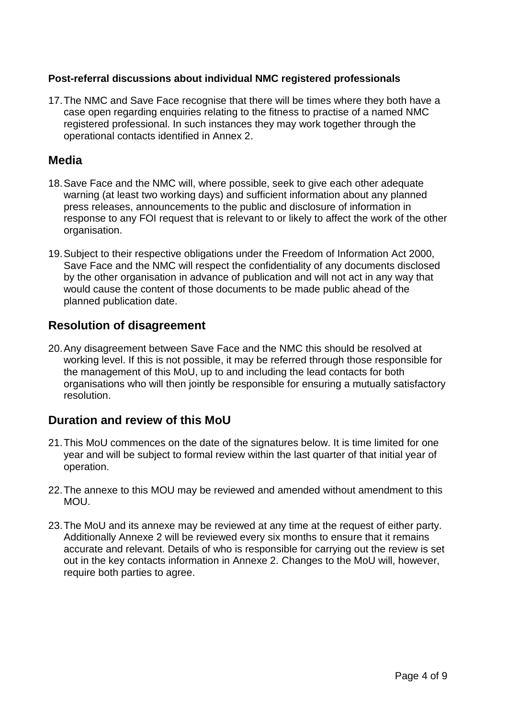#### **Post-referral discussions about individual NMC registered professionals**

17.The NMC and Save Face recognise that there will be times where they both have a case open regarding enquiries relating to the fitness to practise of a named NMC registered professional. In such instances they may work together through the operational contacts identified in Annex 2.

### **Media**

- 18.Save Face and the NMC will, where possible, seek to give each other adequate warning (at least two working days) and sufficient information about any planned press releases, announcements to the public and disclosure of information in response to any FOI request that is relevant to or likely to affect the work of the other organisation.
- 19.Subject to their respective obligations under the Freedom of Information Act 2000, Save Face and the NMC will respect the confidentiality of any documents disclosed by the other organisation in advance of publication and will not act in any way that would cause the content of those documents to be made public ahead of the planned publication date.

### **Resolution of disagreement**

20.Any disagreement between Save Face and the NMC this should be resolved at working level. If this is not possible, it may be referred through those responsible for the management of this MoU, up to and including the lead contacts for both organisations who will then jointly be responsible for ensuring a mutually satisfactory resolution.

### **Duration and review of this MoU**

- 21.This MoU commences on the date of the signatures below. It is time limited for one year and will be subject to formal review within the last quarter of that initial year of operation.
- 22.The annexe to this MOU may be reviewed and amended without amendment to this **MOU.**
- 23.The MoU and its annexe may be reviewed at any time at the request of either party. Additionally Annexe 2 will be reviewed every six months to ensure that it remains accurate and relevant. Details of who is responsible for carrying out the review is set out in the key contacts information in Annexe 2. Changes to the MoU will, however, require both parties to agree.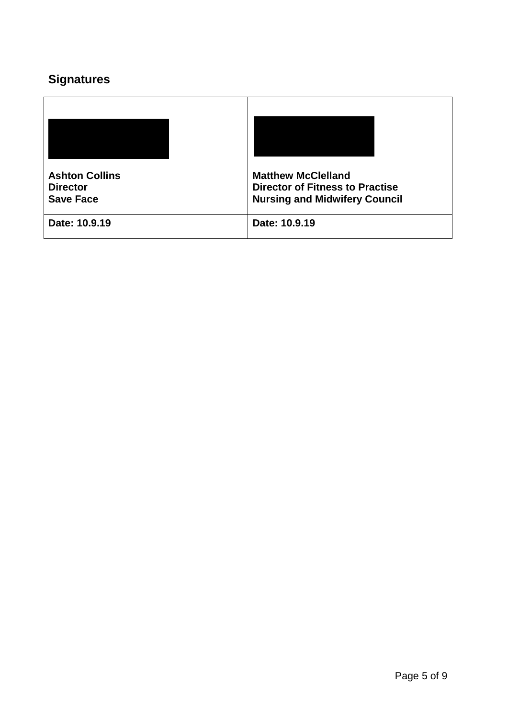# **Signatures**

| <b>Ashton Collins</b><br><b>Director</b><br><b>Save Face</b> | <b>Matthew McClelland</b><br><b>Director of Fitness to Practise</b><br><b>Nursing and Midwifery Council</b> |
|--------------------------------------------------------------|-------------------------------------------------------------------------------------------------------------|
| Date: 10.9.19                                                | Date: 10.9.19                                                                                               |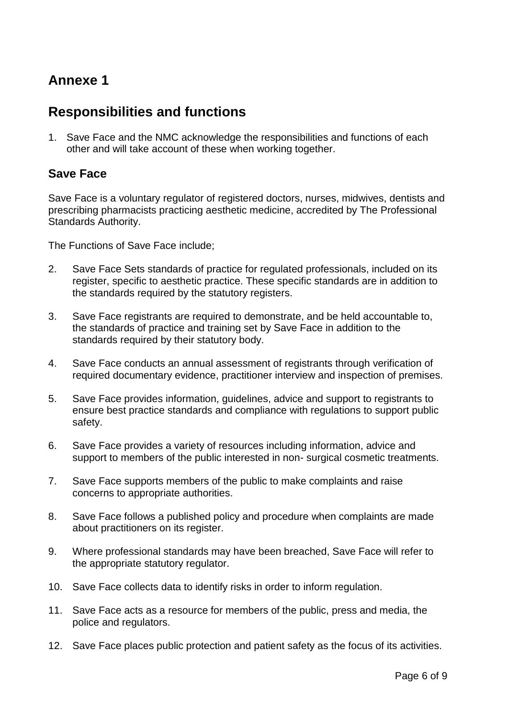## **Annexe 1**

## **Responsibilities and functions**

1. Save Face and the NMC acknowledge the responsibilities and functions of each other and will take account of these when working together.

## **Save Face**

Save Face is a voluntary regulator of registered doctors, nurses, midwives, dentists and prescribing pharmacists practicing aesthetic medicine, accredited by The Professional Standards Authority.

The Functions of Save Face include;

- 2. Save Face Sets standards of practice for regulated professionals, included on its register, specific to aesthetic practice. These specific standards are in addition to the standards required by the statutory registers.
- 3. Save Face registrants are required to demonstrate, and be held accountable to, the standards of practice and training set by Save Face in addition to the standards required by their statutory body.
- 4. Save Face conducts an annual assessment of registrants through verification of required documentary evidence, practitioner interview and inspection of premises.
- 5. Save Face provides information, guidelines, advice and support to registrants to ensure best practice standards and compliance with regulations to support public safety.
- 6. Save Face provides a variety of resources including information, advice and support to members of the public interested in non- surgical cosmetic treatments.
- 7. Save Face supports members of the public to make complaints and raise concerns to appropriate authorities.
- 8. Save Face follows a published policy and procedure when complaints are made about practitioners on its register.
- 9. Where professional standards may have been breached, Save Face will refer to the appropriate statutory regulator.
- 10. Save Face collects data to identify risks in order to inform regulation.
- 11. Save Face acts as a resource for members of the public, press and media, the police and regulators.
- 12. Save Face places public protection and patient safety as the focus of its activities.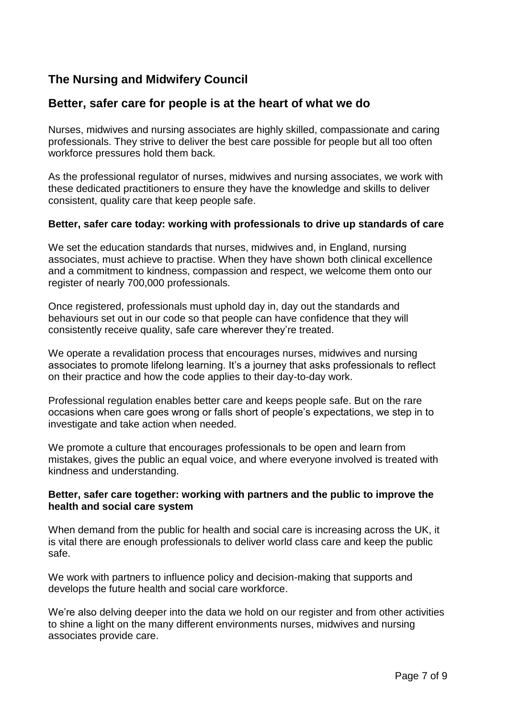## **The Nursing and Midwifery Council**

### **Better, safer care for people is at the heart of what we do**

Nurses, midwives and nursing associates are highly skilled, compassionate and caring professionals. They strive to deliver the best care possible for people but all too often workforce pressures hold them back.

As the professional regulator of nurses, midwives and nursing associates, we work with these dedicated practitioners to ensure they have the knowledge and skills to deliver consistent, quality care that keep people safe.

#### **Better, safer care today: working with professionals to drive up standards of care**

We set the education standards that nurses, midwives and, in England, nursing associates, must achieve to practise. When they have shown both clinical excellence and a commitment to kindness, compassion and respect, we welcome them onto our register of nearly 700,000 professionals.

Once registered, professionals must uphold day in, day out the standards and behaviours set out in our code so that people can have confidence that they will consistently receive quality, safe care wherever they're treated.

We operate a revalidation process that encourages nurses, midwives and nursing associates to promote lifelong learning. It's a journey that asks professionals to reflect on their practice and how the code applies to their day-to-day work.

Professional regulation enables better care and keeps people safe. But on the rare occasions when care goes wrong or falls short of people's expectations, we step in to investigate and take action when needed.

We promote a culture that encourages professionals to be open and learn from mistakes, gives the public an equal voice, and where everyone involved is treated with kindness and understanding.

#### **Better, safer care together: working with partners and the public to improve the health and social care system**

When demand from the public for health and social care is increasing across the UK, it is vital there are enough professionals to deliver world class care and keep the public safe.

We work with partners to influence policy and decision-making that supports and develops the future health and social care workforce.

We're also delving deeper into the data we hold on our register and from other activities to shine a light on the many different environments nurses, midwives and nursing associates provide care.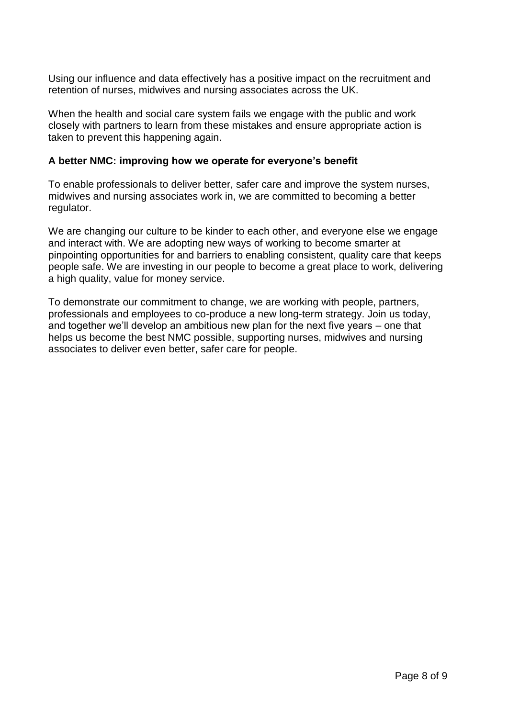Using our influence and data effectively has a positive impact on the recruitment and retention of nurses, midwives and nursing associates across the UK.

When the health and social care system fails we engage with the public and work closely with partners to learn from these mistakes and ensure appropriate action is taken to prevent this happening again.

#### **A better NMC: improving how we operate for everyone's benefit**

To enable professionals to deliver better, safer care and improve the system nurses, midwives and nursing associates work in, we are committed to becoming a better regulator.

We are changing our culture to be kinder to each other, and everyone else we engage and interact with. We are adopting new ways of working to become smarter at pinpointing opportunities for and barriers to enabling consistent, quality care that keeps people safe. We are investing in our people to become a great place to work, delivering a high quality, value for money service.

To demonstrate our commitment to change, we are working with people, partners, professionals and employees to co-produce a new long-term strategy. Join us today, and together we'll develop an ambitious new plan for the next five years – one that helps us become the best NMC possible, supporting nurses, midwives and nursing associates to deliver even better, safer care for people.